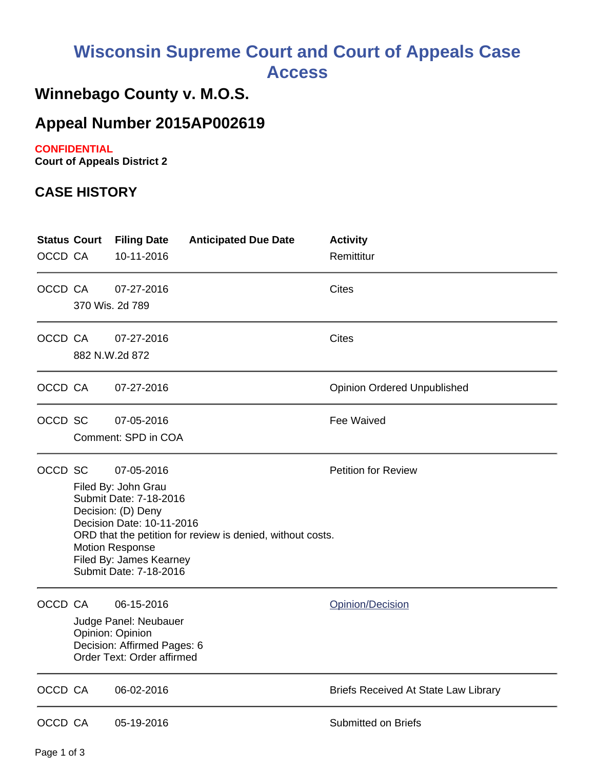# **Wisconsin Supreme Court and Court of Appeals Case Access**

## **Winnebago County v. M.O.S.**

### **Appeal Number 2015AP002619**

#### **CONFIDENTIAL**

**Court of Appeals District 2**

#### **CASE HISTORY**

| <b>Status Court</b><br>OCCD CA |                                                                                                                                                                                                                                                                                           | <b>Filing Date</b><br>10-11-2016                                                                                     | <b>Anticipated Due Date</b> | <b>Activity</b><br>Remittitur               |
|--------------------------------|-------------------------------------------------------------------------------------------------------------------------------------------------------------------------------------------------------------------------------------------------------------------------------------------|----------------------------------------------------------------------------------------------------------------------|-----------------------------|---------------------------------------------|
| OCCD CA                        | 370 Wis. 2d 789                                                                                                                                                                                                                                                                           | 07-27-2016                                                                                                           |                             | <b>Cites</b>                                |
| OCCD CA                        | 882 N.W.2d 872                                                                                                                                                                                                                                                                            | 07-27-2016                                                                                                           |                             | <b>Cites</b>                                |
| OCCD CA                        |                                                                                                                                                                                                                                                                                           | 07-27-2016                                                                                                           |                             | <b>Opinion Ordered Unpublished</b>          |
| OCCD SC                        |                                                                                                                                                                                                                                                                                           | 07-05-2016<br>Comment: SPD in COA                                                                                    |                             | Fee Waived                                  |
| OCCD SC                        | <b>Petition for Review</b><br>07-05-2016<br>Filed By: John Grau<br>Submit Date: 7-18-2016<br>Decision: (D) Deny<br>Decision Date: 10-11-2016<br>ORD that the petition for review is denied, without costs.<br><b>Motion Response</b><br>Filed By: James Kearney<br>Submit Date: 7-18-2016 |                                                                                                                      |                             |                                             |
| OCCD CA                        |                                                                                                                                                                                                                                                                                           | 06-15-2016<br>Judge Panel: Neubauer<br>Opinion: Opinion<br>Decision: Affirmed Pages: 6<br>Order Text: Order affirmed |                             | Opinion/Decision                            |
| OCCD CA                        |                                                                                                                                                                                                                                                                                           | 06-02-2016                                                                                                           |                             | <b>Briefs Received At State Law Library</b> |
| OCCD CA                        |                                                                                                                                                                                                                                                                                           | 05-19-2016                                                                                                           |                             | Submitted on Briefs                         |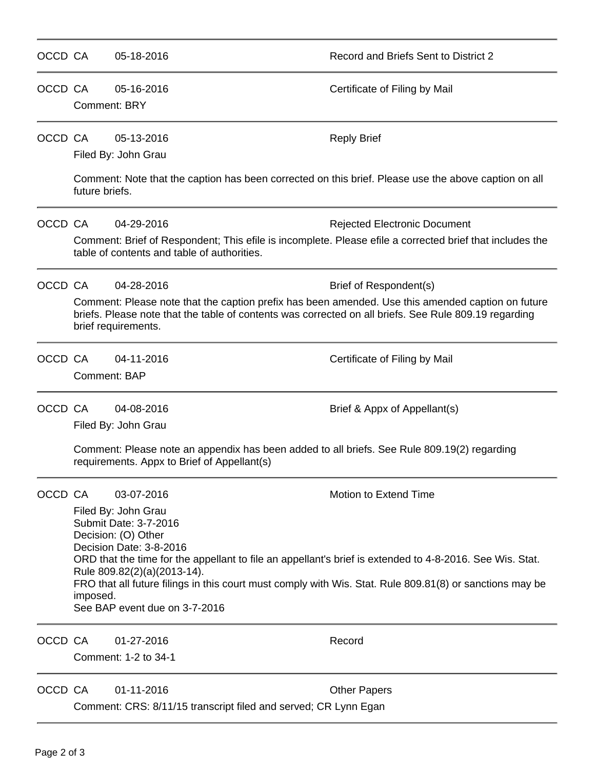| OCCD CA |                                                                                                                                                                                                                                   | 05-18-2016                                                                                                                                                                                                                                                                                                                                                                                         | Record and Briefs Sent to District 2 |  |  |  |  |
|---------|-----------------------------------------------------------------------------------------------------------------------------------------------------------------------------------------------------------------------------------|----------------------------------------------------------------------------------------------------------------------------------------------------------------------------------------------------------------------------------------------------------------------------------------------------------------------------------------------------------------------------------------------------|--------------------------------------|--|--|--|--|
| OCCD CA |                                                                                                                                                                                                                                   | 05-16-2016<br><b>Comment: BRY</b>                                                                                                                                                                                                                                                                                                                                                                  | Certificate of Filing by Mail        |  |  |  |  |
| OCCD CA |                                                                                                                                                                                                                                   | 05-13-2016<br>Filed By: John Grau                                                                                                                                                                                                                                                                                                                                                                  | <b>Reply Brief</b>                   |  |  |  |  |
|         |                                                                                                                                                                                                                                   | Comment: Note that the caption has been corrected on this brief. Please use the above caption on all<br>future briefs.                                                                                                                                                                                                                                                                             |                                      |  |  |  |  |
| OCCD CA |                                                                                                                                                                                                                                   | 04-29-2016                                                                                                                                                                                                                                                                                                                                                                                         | <b>Rejected Electronic Document</b>  |  |  |  |  |
|         | Comment: Brief of Respondent; This efile is incomplete. Please efile a corrected brief that includes the<br>table of contents and table of authorities.                                                                           |                                                                                                                                                                                                                                                                                                                                                                                                    |                                      |  |  |  |  |
| OCCD CA |                                                                                                                                                                                                                                   | 04-28-2016                                                                                                                                                                                                                                                                                                                                                                                         | Brief of Respondent(s)               |  |  |  |  |
|         | Comment: Please note that the caption prefix has been amended. Use this amended caption on future<br>briefs. Please note that the table of contents was corrected on all briefs. See Rule 809.19 regarding<br>brief requirements. |                                                                                                                                                                                                                                                                                                                                                                                                    |                                      |  |  |  |  |
| OCCD CA |                                                                                                                                                                                                                                   | 04-11-2016<br>Comment: BAP                                                                                                                                                                                                                                                                                                                                                                         | Certificate of Filing by Mail        |  |  |  |  |
| OCCD CA |                                                                                                                                                                                                                                   | 04-08-2016                                                                                                                                                                                                                                                                                                                                                                                         | Brief & Appx of Appellant(s)         |  |  |  |  |
|         |                                                                                                                                                                                                                                   | Filed By: John Grau                                                                                                                                                                                                                                                                                                                                                                                |                                      |  |  |  |  |
|         | Comment: Please note an appendix has been added to all briefs. See Rule 809.19(2) regarding<br>requirements. Appx to Brief of Appellant(s)                                                                                        |                                                                                                                                                                                                                                                                                                                                                                                                    |                                      |  |  |  |  |
| OCCD CA |                                                                                                                                                                                                                                   | 03-07-2016                                                                                                                                                                                                                                                                                                                                                                                         | <b>Motion to Extend Time</b>         |  |  |  |  |
|         |                                                                                                                                                                                                                                   | Filed By: John Grau<br>Submit Date: 3-7-2016<br>Decision: (O) Other<br>Decision Date: 3-8-2016<br>ORD that the time for the appellant to file an appellant's brief is extended to 4-8-2016. See Wis. Stat.<br>Rule 809.82(2)(a)(2013-14).<br>FRO that all future filings in this court must comply with Wis. Stat. Rule 809.81(8) or sanctions may be<br>imposed.<br>See BAP event due on 3-7-2016 |                                      |  |  |  |  |
| OCCD CA |                                                                                                                                                                                                                                   | 01-27-2016<br>Comment: 1-2 to 34-1                                                                                                                                                                                                                                                                                                                                                                 | Record                               |  |  |  |  |
| OCCD CA |                                                                                                                                                                                                                                   | 01-11-2016<br>Comment: CRS: 8/11/15 transcript filed and served; CR Lynn Egan                                                                                                                                                                                                                                                                                                                      | <b>Other Papers</b>                  |  |  |  |  |